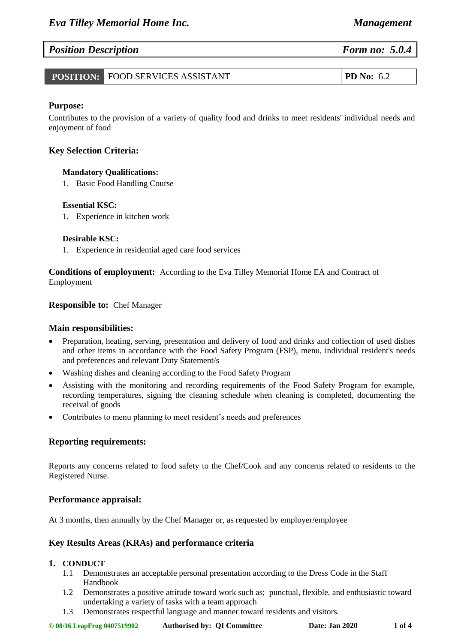### *Position Description Form no: 5.0.4*

| <b>POSITION: FOOD SERVICES ASSISTANT</b> | <b>PD</b> No: $6.2$ |
|------------------------------------------|---------------------|
|------------------------------------------|---------------------|

#### **Purpose:**

Contributes to the provision of a variety of quality food and drinks to meet residents' individual needs and enjoyment of food

#### **Key Selection Criteria:**

#### **Mandatory Qualifications:**

1. Basic Food Handling Course

#### **Essential KSC:**

1. Experience in kitchen work

#### **Desirable KSC:**

1. Experience in residential aged care food services

**Conditions of employment:** According to the Eva Tilley Memorial Home EA and Contract of Employment

#### **Responsible to:** Chef Manager

#### **Main responsibilities:**

- Preparation, heating, serving, presentation and delivery of food and drinks and collection of used dishes and other items in accordance with the Food Safety Program (FSP), menu, individual resident's needs and preferences and relevant Duty Statement/s
- Washing dishes and cleaning according to the Food Safety Program
- Assisting with the monitoring and recording requirements of the Food Safety Program for example, recording temperatures, signing the cleaning schedule when cleaning is completed, documenting the receival of goods
- Contributes to menu planning to meet resident's needs and preferences

#### **Reporting requirements:**

Reports any concerns related to food safety to the Chef/Cook and any concerns related to residents to the Registered Nurse.

#### **Performance appraisal:**

At 3 months, then annually by the Chef Manager or, as requested by employer/employee

#### **Key Results Areas (KRAs) and performance criteria**

#### **1. CONDUCT**

- 1.1 Demonstrates an acceptable personal presentation according to the Dress Code in the Staff Handbook
- 1.2 Demonstrates a positive attitude toward work such as; punctual, flexible, and enthusiastic toward undertaking a variety of tasks with a team approach
- 1.3 Demonstrates respectful language and manner toward residents and visitors.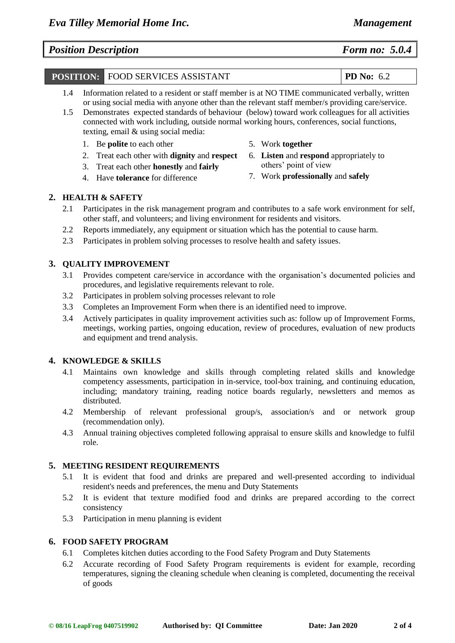# *Position Description Form no: 5.0.4*

## **POSITION:** FOOD SERVICES ASSISTANT **PD No:** 6.2

- 1.4 Information related to a resident or staff member is at NO TIME communicated verbally, written or using social media with anyone other than the relevant staff member/s providing care/service.
- 1.5 Demonstrates expected standards of behaviour (below) toward work colleagues for all activities connected with work including, outside normal working hours, conferences, social functions, texting, email & using social media:
	- 1. Be **polite** to each other
	- 2. Treat each other with **dignity** and **respect**
	- 3. Treat each other **honestly** and **fairly**
	- 4. Have **tolerance** for difference
- 5. Work **together**
- 6. **Listen** and **respond** appropriately to others' point of view
- 7. Work **professionally** and **safely**

#### **2. HEALTH & SAFETY**

- 2.1 Participates in the risk management program and contributes to a safe work environment for self, other staff, and volunteers; and living environment for residents and visitors.
- 2.2 Reports immediately, any equipment or situation which has the potential to cause harm.
- 2.3 Participates in problem solving processes to resolve health and safety issues.

#### **3. QUALITY IMPROVEMENT**

- 3.1 Provides competent care/service in accordance with the organisation's documented policies and procedures, and legislative requirements relevant to role.
- 3.2 Participates in problem solving processes relevant to role
- 3.3 Completes an Improvement Form when there is an identified need to improve.
- 3.4 Actively participates in quality improvement activities such as: follow up of Improvement Forms, meetings, working parties, ongoing education, review of procedures, evaluation of new products and equipment and trend analysis.

#### **4. KNOWLEDGE & SKILLS**

- 4.1 Maintains own knowledge and skills through completing related skills and knowledge competency assessments, participation in in-service, tool-box training, and continuing education, including; mandatory training, reading notice boards regularly, newsletters and memos as distributed.
- 4.2 Membership of relevant professional group/s, association/s and or network group (recommendation only).
- 4.3 Annual training objectives completed following appraisal to ensure skills and knowledge to fulfil role.

#### **5. MEETING RESIDENT REQUIREMENTS**

- 5.1 It is evident that food and drinks are prepared and well-presented according to individual resident's needs and preferences, the menu and Duty Statements
- 5.2 It is evident that texture modified food and drinks are prepared according to the correct consistency
- 5.3 Participation in menu planning is evident

#### **6. FOOD SAFETY PROGRAM**

- 6.1 Completes kitchen duties according to the Food Safety Program and Duty Statements
- 6.2 Accurate recording of Food Safety Program requirements is evident for example, recording temperatures, signing the cleaning schedule when cleaning is completed, documenting the receival of goods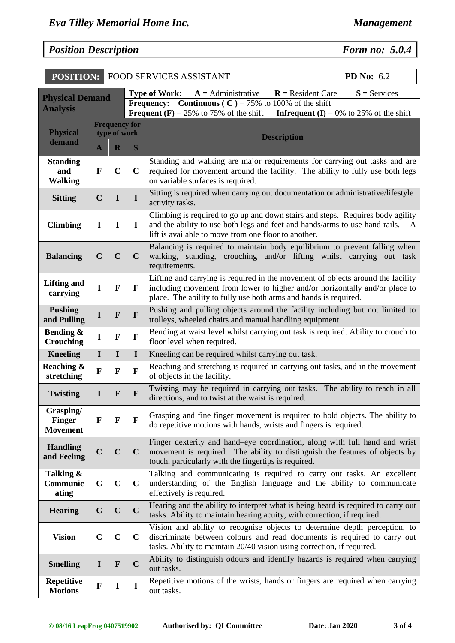# *Position Description Form no: 5.0.4*

| <b>POSITION:</b>                              |              |                |                      | <b>FOOD SERVICES ASSISTANT</b>                                                                                                                                                                                                     | PD No: 6.2                                     |  |  |  |  |  |
|-----------------------------------------------|--------------|----------------|----------------------|------------------------------------------------------------------------------------------------------------------------------------------------------------------------------------------------------------------------------------|------------------------------------------------|--|--|--|--|--|
| <b>Physical Demand</b>                        |              |                |                      | $R =$ Resident Care<br>$A =$ Administrative<br><b>Type of Work:</b><br><b>Continuous (C)</b> = 75% to 100% of the shift<br><b>Frequency:</b>                                                                                       | $S =$ Services                                 |  |  |  |  |  |
| <b>Analysis</b>                               |              |                |                      | <b>Frequent (F)</b> = 25% to 75% of the shift                                                                                                                                                                                      | <b>Infrequent (I)</b> = 0% to 25% of the shift |  |  |  |  |  |
| <b>Physical</b>                               |              | type of work   | <b>Frequency for</b> |                                                                                                                                                                                                                                    |                                                |  |  |  |  |  |
| demand                                        | $\mathbf{A}$ | $\mathbf R$    | S                    | <b>Description</b>                                                                                                                                                                                                                 |                                                |  |  |  |  |  |
| <b>Standing</b><br>and<br><b>Walking</b>      | $\mathbf{F}$ | $\overline{C}$ | $\mathbf C$          | Standing and walking are major requirements for carrying out tasks and are<br>required for movement around the facility. The ability to fully use both legs<br>on variable surfaces is required.                                   |                                                |  |  |  |  |  |
| <b>Sitting</b>                                | $\mathbf C$  | I              | $\mathbf I$          | Sitting is required when carrying out documentation or administrative/lifestyle<br>activity tasks.                                                                                                                                 |                                                |  |  |  |  |  |
| <b>Climbing</b>                               | $\mathbf I$  | I              | $\mathbf I$          | Climbing is required to go up and down stairs and steps. Requires body agility<br>and the ability to use both legs and feet and hands/arms to use hand rails.<br>A<br>lift is available to move from one floor to another.         |                                                |  |  |  |  |  |
| <b>Balancing</b>                              | $\mathbf C$  | $\mathbf C$    | $\mathbf C$          | Balancing is required to maintain body equilibrium to prevent falling when<br>walking, standing, crouching and/or lifting whilst carrying out task<br>requirements.                                                                |                                                |  |  |  |  |  |
| <b>Lifting and</b><br>carrying                | I            | F              | $\mathbf F$          | Lifting and carrying is required in the movement of objects around the facility<br>including movement from lower to higher and/or horizontally and/or place to<br>place. The ability to fully use both arms and hands is required. |                                                |  |  |  |  |  |
| <b>Pushing</b><br>and Pulling                 | $\mathbf I$  | $\mathbf{F}$   | $\mathbf{F}$         | Pushing and pulling objects around the facility including but not limited to<br>trolleys, wheeled chairs and manual handling equipment.                                                                                            |                                                |  |  |  |  |  |
| Bending &<br>Crouching                        | I            | F              | ${\bf F}$            | Bending at waist level whilst carrying out task is required. Ability to crouch to<br>floor level when required.                                                                                                                    |                                                |  |  |  |  |  |
| <b>Kneeling</b>                               | $\mathbf I$  | $\mathbf I$    | $\mathbf I$          | Kneeling can be required whilst carrying out task.                                                                                                                                                                                 |                                                |  |  |  |  |  |
| Reaching &<br>stretching                      | $\mathbf{F}$ | F              | $\mathbf{F}$         | Reaching and stretching is required in carrying out tasks, and in the movement<br>of objects in the facility.                                                                                                                      |                                                |  |  |  |  |  |
| <b>Twisting</b>                               | $\bf{I}$     | F              | $\mathbf{F}$         | Twisting may be required in carrying out tasks. The ability to reach in all<br>directions, and to twist at the waist is required.                                                                                                  |                                                |  |  |  |  |  |
| Grasping/<br><b>Finger</b><br><b>Movement</b> | $\mathbf{F}$ | F              | $\mathbf{F}$         | Grasping and fine finger movement is required to hold objects. The ability to<br>do repetitive motions with hands, wrists and fingers is required.                                                                                 |                                                |  |  |  |  |  |
| <b>Handling</b><br>and Feeling                | $\mathbf C$  | $\mathbf C$    | $\mathbf C$          | Finger dexterity and hand-eye coordination, along with full hand and wrist<br>movement is required. The ability to distinguish the features of objects by<br>touch, particularly with the fingertips is required.                  |                                                |  |  |  |  |  |
| Talking &<br>Communic<br>ating                | $\mathbf C$  | $\mathbf C$    | $\mathbf C$          | Talking and communicating is required to carry out tasks. An excellent<br>understanding of the English language and the ability to communicate<br>effectively is required.                                                         |                                                |  |  |  |  |  |
| <b>Hearing</b>                                | $\mathbf C$  | $\mathbf C$    | $\mathbf C$          | Hearing and the ability to interpret what is being heard is required to carry out<br>tasks. Ability to maintain hearing acuity, with correction, if required.                                                                      |                                                |  |  |  |  |  |
| <b>Vision</b>                                 | $\mathbf C$  | $\mathbf C$    | $\mathbf C$          | Vision and ability to recognise objects to determine depth perception, to<br>discriminate between colours and read documents is required to carry out<br>tasks. Ability to maintain 20/40 vision using correction, if required.    |                                                |  |  |  |  |  |
| <b>Smelling</b>                               | $\bf{I}$     | $\mathbf{F}$   | $\mathbf C$          | Ability to distinguish odours and identify hazards is required when carrying<br>out tasks.                                                                                                                                         |                                                |  |  |  |  |  |
| <b>Repetitive</b><br><b>Motions</b>           | $\mathbf{F}$ | I              | I                    | Repetitive motions of the wrists, hands or fingers are required when carrying<br>out tasks.                                                                                                                                        |                                                |  |  |  |  |  |